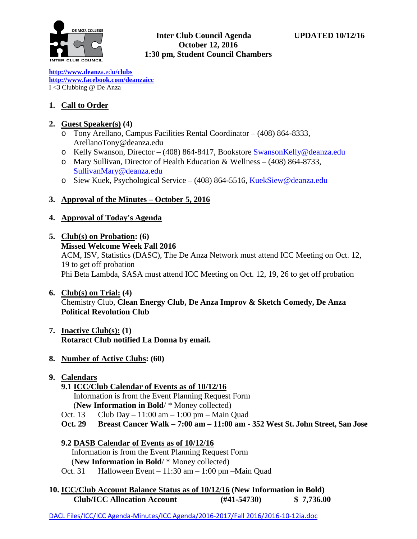

# **Inter Club Council Agenda UPDATED 10/12/16 October 12, 2016 1:30 pm, Student Council Chambers**

**[http://www.deanz](http://www.deanza.edu/clubs)**[a.ed](http://www.deanza.edu/clubs)**[u/clubs](http://www.deanza.edu/clubs) [http://www.facebook.com/deanzaicc](http://www.facebook.com/home.php#!/group.php?gid=59034552686)** I <3 Clubbing @ De Anza

# **1. Call to Order**

# **2. Guest Speaker(s) (4)**

- o Tony Arellano, Campus Facilities Rental Coordinator (408) 864-8333, [ArellanoTony@deanza.edu](mailto:ArellanoTony@deanza.edu)
- o Kelly Swanson, Director (408) 864-8417, Bookstore [SwansonKelly@deanza.edu](mailto:SwansonKelly@deanza.edu)
- o Mary Sullivan, Director of Health Education & Wellness (408) 864-8733, [SullivanMary@deanza.edu](mailto:SullivanMary@deanza.edu)
- o Siew Kuek, Psychological Service (408) 864-5516, [KuekSiew@deanza.edu](mailto:KuekSiew@deanza.edu)

# **3. Approval of the Minutes – October 5, 2016**

# **4. Approval of Today's Agenda**

- **5. Club(s) on Probation: (6) Missed Welcome Week Fall 2016** ACM, ISV, Statistics (DASC), The De Anza Network must attend ICC Meeting on Oct. 12, 19 to get off probation Phi Beta Lambda, SASA must attend ICC Meeting on Oct. 12, 19, 26 to get off probation
- **6. Club(s) on Trial: (4)** Chemistry Club, **Clean Energy Club, De Anza Improv & Sketch Comedy, De Anza Political Revolution Club**
- **7. Inactive Club(s): (1) Rotaract Club notified La Donna by email.**
- **8. Number of Active Clubs: (60)**

#### **9. Calendars**

- **9.1 ICC/Club Calendar of Events as of 10/12/16** Information is from the Event Planning Request Form (**New Information in Bold**/ \* Money collected)
- Oct. 13 Club Day 11:00 am 1:00 pm Main Quad
- **Oct. 29 Breast Cancer Walk – 7:00 am – 11:00 am - 352 West St. John Street, San Jose**

### **9.2 DASB Calendar of Events as of 10/12/16**

Information is from the Event Planning Request Form

- (**New Information in Bold**/ \* Money collected)
- Oct. 31 Halloween Event 11:30 am 1:00 pm –Main Quad

# **10. ICC/Club Account Balance Status as of 10/12/16 (New Information in Bold) Club/ICC Allocation Account (#41-54730) \$ 7,736.00**